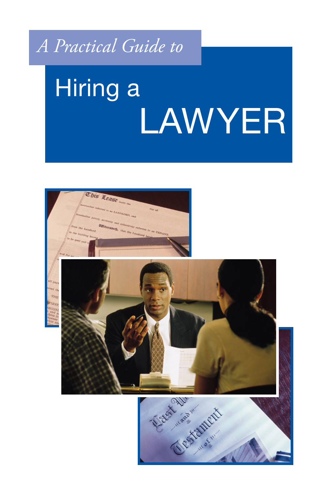# *A Practical Guide to*

# Hiring a LAWYER

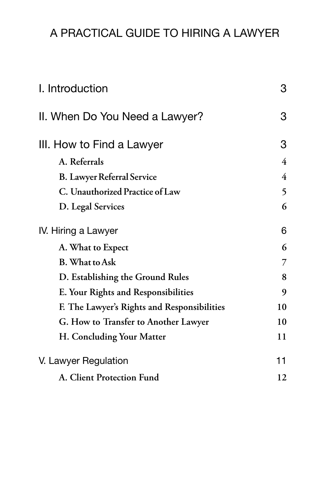# A PRACTICAL GUIDE TO HIRING A LAWYER

| I. Introduction                             | 3              |
|---------------------------------------------|----------------|
| II. When Do You Need a Lawyer?              | 3              |
| III. How to Find a Lawyer                   | 3              |
| A. Referrals                                | 4              |
| <b>B.</b> Lawyer Referral Service           | $\overline{4}$ |
| C. Unauthorized Practice of Law             | 5              |
| D. Legal Services                           | 6              |
| IV. Hiring a Lawyer                         | 6              |
| A. What to Expect                           | 6              |
| <b>B.</b> What to Ask                       | 7              |
| D. Establishing the Ground Rules            | 8              |
| E. Your Rights and Responsibilities         | 9              |
| F. The Lawyer's Rights and Responsibilities | 10             |
| G. How to Transfer to Another Lawyer        | 10             |
| H. Concluding Your Matter                   | 11             |
| V. Lawyer Regulation                        | 11             |
| A. Client Protection Fund                   | 12             |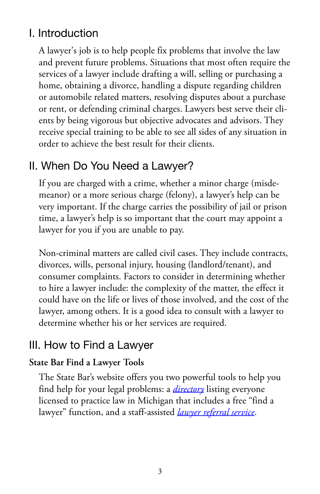# <span id="page-2-0"></span>I. Introduction

A lawyer's job is to help people fix problems that involve the law and prevent future problems. Situations that most often require the services of a lawyer include drafting a will, selling or purchasing a home, obtaining a divorce, handling a dispute regarding children or automobile related matters, resolving disputes about a purchase or rent, or defending criminal charges. Lawyers best serve their clients by being vigorous but objective advocates and advisors. They receive special training to be able to see all sides of any situation in order to achieve the best result for their clients.

## II. When Do You Need a Lawyer?

If you are charged with a crime, whether a minor charge (misdemeanor) or a more serious charge (felony), a lawyer's help can be very important. If the charge carries the possibility of jail or prison time, a lawyer's help is so important that the court may appoint a lawyer for you if you are unable to pay.

Non-criminal matters are called civil cases. They include contracts, divorces, wills, personal injury, housing (landlord/tenant), and consumer complaints. Factors to consider in determining whether to hire a lawyer include: the complexity of the matter, the effect it could have on the life or lives of those involved, and the cost of the lawyer, among others. It is a good idea to consult with a lawyer to determine whether his or her services are required.

### III. How to Find a Lawyer

#### **State Bar Find a Lawyer Tools**

The State Bar's website offers you two powerful tools to help you find help for your legal problems: a *[directory](http://directory.michbar.org)* listing everyone licensed to practice law in Michigan that includes a free "find a lawyer" function, and a staff-assisted *[lawyer referral service](https://www.michbar.org/LRS)*.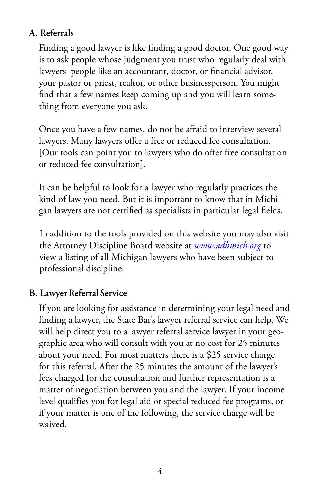#### <span id="page-3-0"></span>**A. Referrals**

Finding a good lawyer is like finding a good doctor. One good way is to ask people whose judgment you trust who regularly deal with lawyers–people like an accountant, doctor, or financial advisor, your pastor or priest, realtor, or other businessperson. You might find that a few names keep coming up and you will learn something from everyone you ask.

Once you have a few names, do not be afraid to interview several lawyers. Many lawyers offer a free or reduced fee consultation. [Our tools can point you to lawyers who do offer free consultation or reduced fee consultation].

It can be helpful to look for a lawyer who regularly practices the kind of law you need. But it is important to know that in Michigan lawyers are not certified as specialists in particular legal fields.

In addition to the tools provided on this website you may also visit the Attorney Discipline Board website at *[www.adbmich.org](http://www.adbmich.org/)* to view a listing of all Michigan lawyers who have been subject to professional discipline.

#### **B. Lawyer Referral Service**

If you are looking for assistance in determining your legal need and finding a lawyer, the State Bar's lawyer referral service can help. We will help direct you to a lawyer referral service lawyer in your geographic area who will consult with you at no cost for 25 minutes about your need. For most matters there is a \$25 service charge for this referral. After the 25 minutes the amount of the lawyer's fees charged for the consultation and further representation is a matter of negotiation between you and the lawyer. If your income level qualifies you for legal aid or special reduced fee programs, or if your matter is one of the following, the service charge will be waived.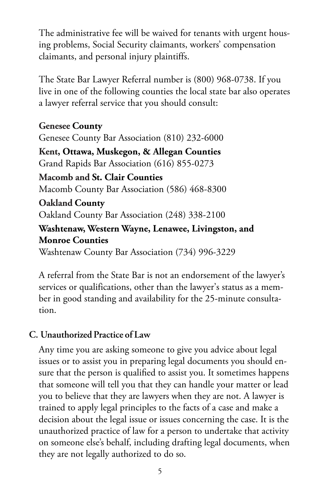<span id="page-4-0"></span>The administrative fee will be waived for tenants with urgent housing problems, Social Security claimants, workers' compensation claimants, and personal injury plaintiffs.

The State Bar Lawyer Referral number is (800) 968-0738. If you live in one of the following counties the local state bar also operates a lawyer referral service that you should consult:

**Genesee County** Genesee County Bar Association (810) 232-6000 **Kent, Ottawa, Muskegon, & Allegan Counties** Grand Rapids Bar Association (616) 855-0273 **Macomb and St. Clair Counties** Macomb County Bar Association (586) 468-8300 **Oakland County** Oakland County Bar Association (248) 338-2100 **Washtenaw, Western Wayne, Lenawee, Livingston, and Monroe Counties** Washtenaw County Bar Association (734) 996-3229

A referral from the State Bar is not an endorsement of the lawyer's services or qualifications, other than the lawyer's status as a member in good standing and availability for the 25-minute consultation.

#### **C. Unauthorized Practice of Law**

Any time you are asking someone to give you advice about legal issues or to assist you in preparing legal documents you should ensure that the person is qualified to assist you. It sometimes happens that someone will tell you that they can handle your matter or lead you to believe that they are lawyers when they are not. A lawyer is trained to apply legal principles to the facts of a case and make a decision about the legal issue or issues concerning the case. It is the unauthorized practice of law for a person to undertake that activity on someone else's behalf, including drafting legal documents, when they are not legally authorized to do so.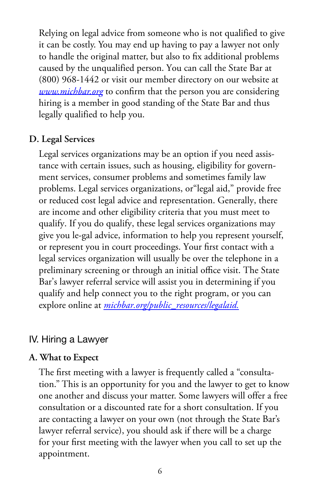<span id="page-5-0"></span>Relying on legal advice from someone who is not qualified to give it can be costly. You may end up having to pay a lawyer not only to handle the original matter, but also to fix additional problems caused by the unqualified person. You can call the State Bar at (800) 968-1442 or visit our member directory on our website at *[www.michbar.org](http://www.michbar.org/)* to confirm that the person you are considering hiring is a member in good standing of the State Bar and thus legally qualified to help you.

#### **D. Legal Services**

Legal services organizations may be an option if you need assistance with certain issues, such as housing, eligibility for government services, consumer problems and sometimes family law problems. Legal services organizations, or"legal aid," provide free or reduced cost legal advice and representation. Generally, there are income and other eligibility criteria that you must meet to qualify. If you do qualify, these legal services organizations may give you le-gal advice, information to help you represent yourself, or represent you in court proceedings. Your first contact with a legal services organization will usually be over the telephone in a preliminary screening or through an initial office visit. The State Bar's lawyer referral service will assist you in determining if you qualify and help connect you to the right program, or you can explore online at *[michbar.org/public\\_resources/legalaid.](http://www.michbar.org/public_resources/legalaid)*

#### IV. Hiring a Lawyer

#### **A. What to Expect**

The first meeting with a lawyer is frequently called a "consultation." This is an opportunity for you and the lawyer to get to know one another and discuss your matter. Some lawyers will offer a free consultation or a discounted rate for a short consultation. If you are contacting a lawyer on your own (not through the State Bar's lawyer referral service), you should ask if there will be a charge for your first meeting with the lawyer when you call to set up the appointment.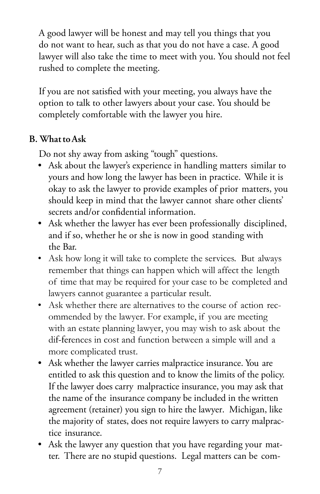<span id="page-6-0"></span>A good lawyer will be honest and may tell you things that you do not want to hear, such as that you do not have a case. A good lawyer will also take the time to meet with you. You should not feel rushed to complete the meeting.

If you are not satisfied with your meeting, you always have the option to talk to other lawyers about your case. You should be completely comfortable with the lawyer you hire.

#### **B. What to Ask**

Do not shy away from asking "tough" questions.

- Ask about the lawyer's experience in handling matters similar to yours and how long the lawyer has been in practice. While it is okay to ask the lawyer to provide examples of prior matters, you should keep in mind that the lawyer cannot share other clients' secrets and/or confidential information.
- Ask whether the lawyer has ever been professionally disciplined, and if so, whether he or she is now in good standing with the Bar.
- Ask how long it will take to complete the services. But always remember that things can happen which will affect the length of time that may be required for your case to be completed and lawyers cannot guarantee a particular result.
- Ask whether there are alternatives to the course of action recommended by the lawyer. For example, if you are meeting with an estate planning lawyer, you may wish to ask about the dif-ferences in cost and function between a simple will and a more complicated trust.
- Ask whether the lawyer carries malpractice insurance. You are entitled to ask this question and to know the limits of the policy. If the lawyer does carry malpractice insurance, you may ask that the name of the insurance company be included in the written agreement (retainer) you sign to hire the lawyer. Michigan, like the majority of states, does not require lawyers to carry malpractice insurance.
- Ask the lawyer any question that you have regarding your matter. There are no stupid questions. Legal matters can be com-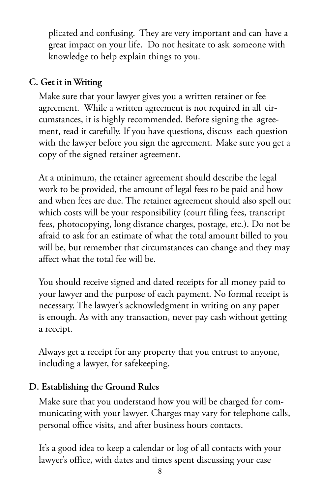<span id="page-7-0"></span>plicated and confusing. They are very important and can have a great impact on your life. Do not hesitate to ask someone with knowledge to help explain things to you.

#### **C. Get it in Writing**

Make sure that your lawyer gives you a written retainer or fee agreement. While a written agreement is not required in all circumstances, it is highly recommended. Before signing the agreement, read it carefully. If you have questions, discuss each question with the lawyer before you sign the agreement. Make sure you get a copy of the signed retainer agreement.

At a minimum, the retainer agreement should describe the legal work to be provided, the amount of legal fees to be paid and how and when fees are due. The retainer agreement should also spell out which costs will be your responsibility (court filing fees, transcript fees, photocopying, long distance charges, postage, etc.). Do not be afraid to ask for an estimate of what the total amount billed to you will be, but remember that circumstances can change and they may affect what the total fee will be.

You should receive signed and dated receipts for all money paid to your lawyer and the purpose of each payment. No formal receipt is necessary. The lawyer's acknowledgment in writing on any paper is enough. As with any transaction, never pay cash without getting a receipt.

Always get a receipt for any property that you entrust to anyone, including a lawyer, for safekeeping.

#### **D. Establishing the Ground Rules**

Make sure that you understand how you will be charged for communicating with your lawyer. Charges may vary for telephone calls, personal office visits, and after business hours contacts.

It's a good idea to keep a calendar or log of all contacts with your lawyer's office, with dates and times spent discussing your case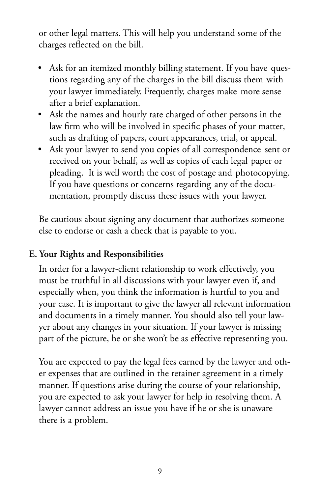<span id="page-8-0"></span>or other legal matters. This will help you understand some of the charges reflected on the bill.

- Ask for an itemized monthly billing statement. If you have questions regarding any of the charges in the bill discuss them with your lawyer immediately. Frequently, charges make more sense after a brief explanation.
- Ask the names and hourly rate charged of other persons in the law firm who will be involved in specific phases of your matter, such as drafting of papers, court appearances, trial, or appeal.
- Ask your lawyer to send you copies of all correspondence sent or received on your behalf, as well as copies of each legal paper or pleading. It is well worth the cost of postage and photocopying. If you have questions or concerns regarding any of the documentation, promptly discuss these issues with your lawyer.

Be cautious about signing any document that authorizes someone else to endorse or cash a check that is payable to you.

#### **E. Your Rights and Responsibilities**

In order for a lawyer-client relationship to work effectively, you must be truthful in all discussions with your lawyer even if, and especially when, you think the information is hurtful to you and your case. It is important to give the lawyer all relevant information and documents in a timely manner. You should also tell your lawyer about any changes in your situation. If your lawyer is missing part of the picture, he or she won't be as effective representing you.

You are expected to pay the legal fees earned by the lawyer and other expenses that are outlined in the retainer agreement in a timely manner. If questions arise during the course of your relationship, you are expected to ask your lawyer for help in resolving them. A lawyer cannot address an issue you have if he or she is unaware there is a problem.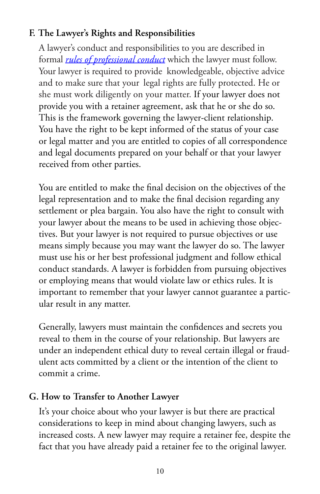#### <span id="page-9-0"></span>**F. The Lawyer's Rights and Responsibilities**

A lawyer's conduct and responsibilities to you are described in formal *[rules of professional conduct](http://courts.mi.gov/Courts/MichiganSupremeCourt/rules/Documents/Michigan%20Rules%20of%20Professional%20Conduct.pdf)* which the lawyer must follow. Your lawyer is required to provide knowledgeable, objective advice and to make sure that your legal rights are fully protected. He or she must work diligently on your matter. If your lawyer does not provide you with a retainer agreement, ask that he or she do so. This is the framework governing the lawyer-client relationship. You have the right to be kept informed of the status of your case or legal matter and you are entitled to copies of all correspondence and legal documents prepared on your behalf or that your lawyer received from other parties.

You are entitled to make the final decision on the objectives of the legal representation and to make the final decision regarding any settlement or plea bargain. You also have the right to consult with your lawyer about the means to be used in achieving those objectives. But your lawyer is not required to pursue objectives or use means simply because you may want the lawyer do so. The lawyer must use his or her best professional judgment and follow ethical conduct standards. A lawyer is forbidden from pursuing objectives or employing means that would violate law or ethics rules. It is important to remember that your lawyer cannot guarantee a particular result in any matter.

Generally, lawyers must maintain the confidences and secrets you reveal to them in the course of your relationship. But lawyers are under an independent ethical duty to reveal certain illegal or fraudulent acts committed by a client or the intention of the client to commit a crime.

#### **G. How to Transfer to Another Lawyer**

It's your choice about who your lawyer is but there are practical considerations to keep in mind about changing lawyers, such as increased costs. A new lawyer may require a retainer fee, despite the fact that you have already paid a retainer fee to the original lawyer.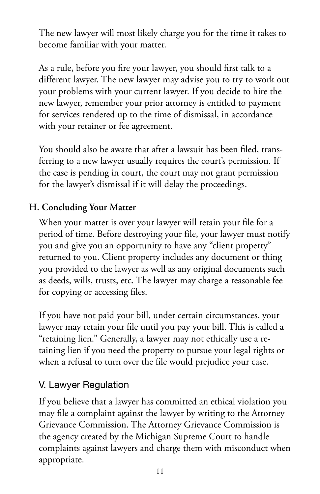<span id="page-10-0"></span>The new lawyer will most likely charge you for the time it takes to become familiar with your matter.

As a rule, before you fire your lawyer, you should first talk to a different lawyer. The new lawyer may advise you to try to work out your problems with your current lawyer. If you decide to hire the new lawyer, remember your prior attorney is entitled to payment for services rendered up to the time of dismissal, in accordance with your retainer or fee agreement.

You should also be aware that after a lawsuit has been filed, transferring to a new lawyer usually requires the court's permission. If the case is pending in court, the court may not grant permission for the lawyer's dismissal if it will delay the proceedings.

#### **H. Concluding Your Matter**

When your matter is over your lawyer will retain your file for a period of time. Before destroying your file, your lawyer must notify you and give you an opportunity to have any "client property" returned to you. Client property includes any document or thing you provided to the lawyer as well as any original documents such as deeds, wills, trusts, etc. The lawyer may charge a reasonable fee for copying or accessing files.

If you have not paid your bill, under certain circumstances, your lawyer may retain your file until you pay your bill. This is called a "retaining lien." Generally, a lawyer may not ethically use a retaining lien if you need the property to pursue your legal rights or when a refusal to turn over the file would prejudice your case.

#### V. Lawyer Regulation

If you believe that a lawyer has committed an ethical violation you may file a complaint against the lawyer by writing to the Attorney Grievance Commission. The Attorney Grievance Commission is the agency created by the Michigan Supreme Court to handle complaints against lawyers and charge them with misconduct when appropriate.